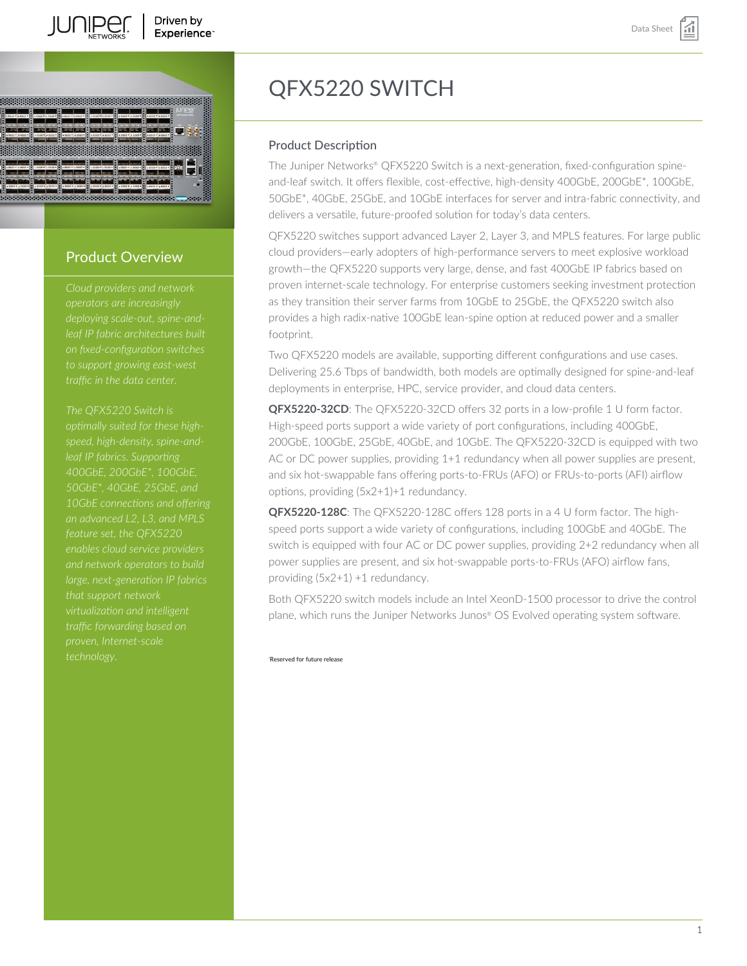



# Product Overview

*deploying scale-out, spine-andleaf IP fabric architectures built on fixed-configuration switches to support growing east-west traffic in the data center.*

*The QFX5220 Switch is optimally suited for these highspeed, high-density, spine-and-400GbE, 200GbE\*, 100GbE, 50GbE\*, 40GbE, 25GbE, and an advanced L2, L3, and MPLS feature set, the QFX5220 enables cloud service providers large, next-generation IP fabrics that support network traffic forwarding based on*

# QFX5220 SWITCH

# Product Description

The Juniper Networks® QFX5220 Switch is a next-generation, fixed-configuration spineand-leaf switch. It offers flexible, cost-effective, high-density 400GbE, 200GbE\*, 100GbE, 50GbE\*, 40GbE, 25GbE, and 10GbE interfaces for server and intra-fabric connectivity, and delivers a versatile, future-proofed solution for today's data centers.

QFX5220 switches support advanced Layer 2, Layer 3, and MPLS features. For large public cloud providers—early adopters of high-performance servers to meet explosive workload growth—the QFX5220 supports very large, dense, and fast 400GbE IP fabrics based on proven internet-scale technology. For enterprise customers seeking investment protection as they transition their server farms from 10GbE to 25GbE, the QFX5220 switch also provides a high radix-native 100GbE lean-spine option at reduced power and a smaller footprint.

Two QFX5220 models are available, supporting different configurations and use cases. Delivering 25.6 Tbps of bandwidth, both models are optimally designed for spine-and-leaf deployments in enterprise, HPC, service provider, and cloud data centers.

QFX5220-32CD: The QFX5220-32CD offers 32 ports in a low-profile 1 U form factor. High-speed ports support a wide variety of port configurations, including 400GbE, 200GbE, 100GbE, 25GbE, 40GbE, and 10GbE. The QFX5220-32CD is equipped with two AC or DC power supplies, providing 1+1 redundancy when all power supplies are present, and six hot-swappable fans offering ports-to-FRUs (AFO) or FRUs-to-ports (AFI) airflow options, providing (5x2+1)+1 redundancy.

**QFX5220-128C**: The QFX5220-128C offers 128 ports in a 4 U form factor. The highspeed ports support a wide variety of configurations, including 100GbE and 40GbE. The switch is equipped with four AC or DC power supplies, providing 2+2 redundancy when all power supplies are present, and six hot-swappable ports-to-FRUs (AFO) airflow fans, providing (5x2+1) +1 redundancy.

Both QFX5220 switch models include an Intel XeonD-1500 processor to drive the control plane, which runs the Juniper Networks Junos® OS Evolved operating system software.

\*Reserved for future release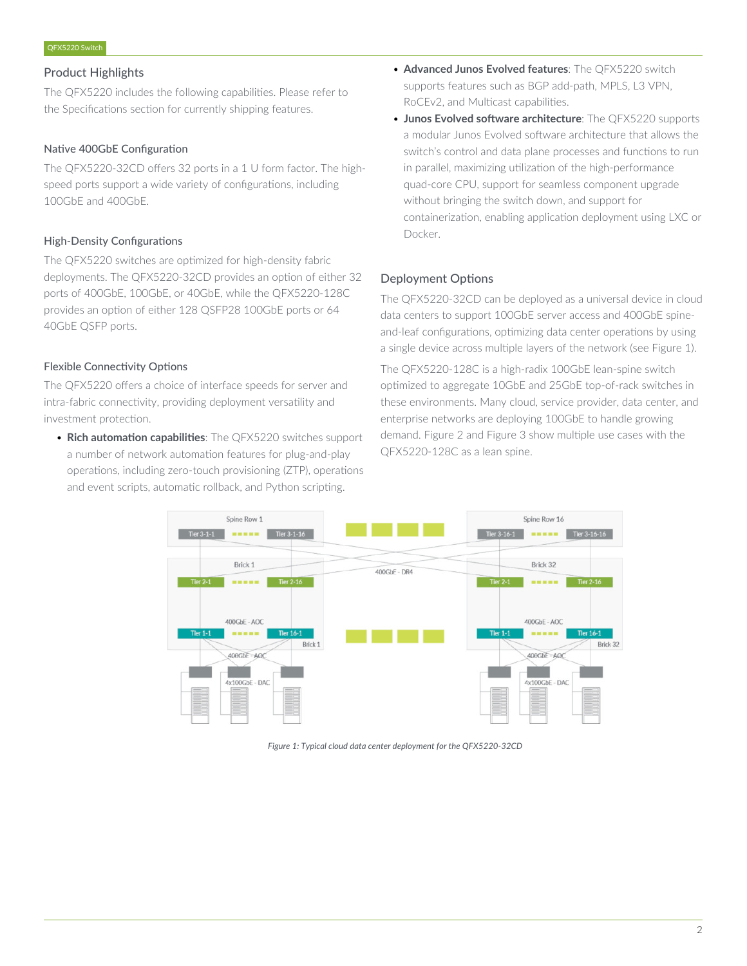# Product Highlights

The QFX5220 includes the following capabilities. Please refer to the Specifications section for currently shipping features.

# Native 400GbE Configuration

The QFX5220-32CD offers 32 ports in a 1 U form factor. The highspeed ports support a wide variety of configurations, including 100GbE and 400GbE.

# High-Density Configurations

The QFX5220 switches are optimized for high-density fabric deployments. The QFX5220-32CD provides an option of either 32 ports of 400GbE, 100GbE, or 40GbE, while the QFX5220-128C provides an option of either 128 QSFP28 100GbE ports or 64 40GbE QSFP ports.

# Flexible Connectivity Options

The QFX5220 offers a choice of interface speeds for server and intra-fabric connectivity, providing deployment versatility and investment protection.

• **Rich automation capabilities**: The QFX5220 switches support a number of network automation features for plug-and-play operations, including zero-touch provisioning (ZTP), operations and event scripts, automatic rollback, and Python scripting.

- **Advanced Junos Evolved features**: The QFX5220 switch supports features such as BGP add-path, MPLS, L3 VPN, RoCEv2, and Multicast capabilities.
- **Junos Evolved software architecture**: The QFX5220 supports a modular Junos Evolved software architecture that allows the switch's control and data plane processes and functions to run in parallel, maximizing utilization of the high-performance quad-core CPU, support for seamless component upgrade without bringing the switch down, and support for containerization, enabling application deployment using LXC or Docker.

# Deployment Options

The QFX5220-32CD can be deployed as a universal device in cloud data centers to support 100GbE server access and 400GbE spineand-leaf configurations, optimizing data center operations by using a single device across multiple layers of the network (see Figure 1).

The QFX5220-128C is a high-radix 100GbE lean-spine switch optimized to aggregate 10GbE and 25GbE top-of-rack switches in these environments. Many cloud, service provider, data center, and enterprise networks are deploying 100GbE to handle growing demand. Figure 2 and Figure 3 show multiple use cases with the QFX5220-128C as a lean spine.



*Figure 1: Typical cloud data center deployment for the QFX5220-32CD*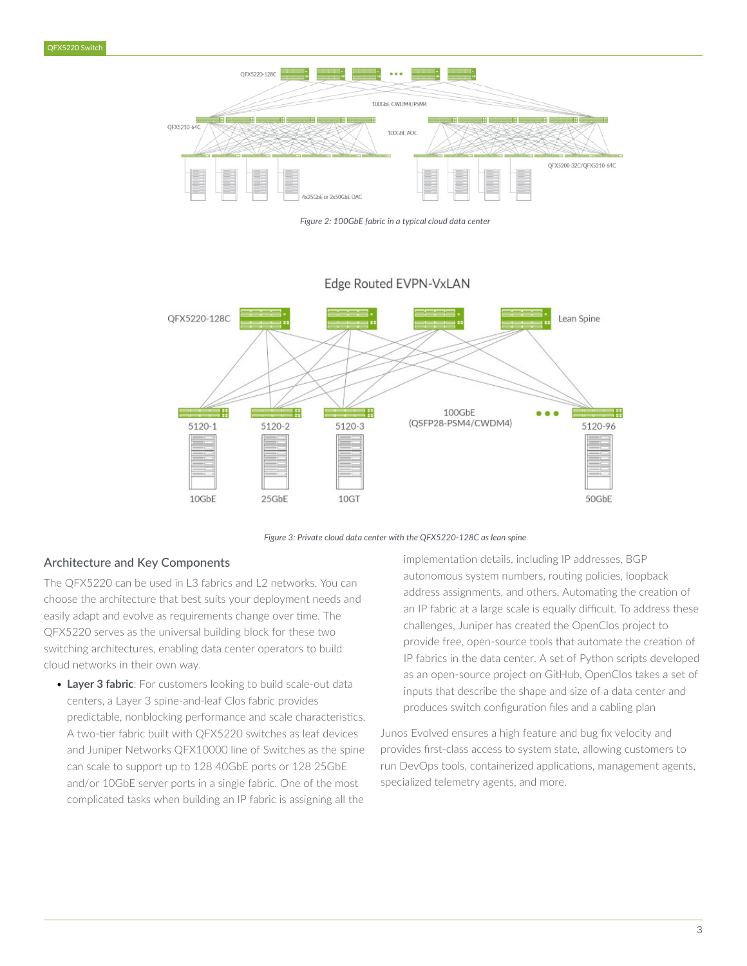

*Figure 2: 100GbE fabric in a typical cloud data center*



# Edge Routed EVPN-VxLAN

*Figure 3: Private cloud data center with the QFX5220-128C as lean spine*

# Architecture and Key Components

The QFX5220 can be used in L3 fabrics and L2 networks. You can choose the architecture that best suits your deployment needs and easily adapt and evolve as requirements change over time. The QFX5220 serves as the universal building block for these two switching architectures, enabling data center operators to build cloud networks in their own way.

• **Layer 3 fabric**: For customers looking to build scale-out data centers, a Layer 3 spine-and-leaf Clos fabric provides predictable, nonblocking performance and scale characteristics. A two-tier fabric built with QFX5220 switches as leaf devices and Juniper Networks QFX10000 line of Switches as the spine can scale to support up to 128 40GbE ports or 128 25GbE and/or 10GbE server ports in a single fabric. One of the most complicated tasks when building an IP fabric is assigning all the

implementation details, including IP addresses, BGP autonomous system numbers, routing policies, loopback address assignments, and others. Automating the creation of an IP fabric at a large scale is equally difficult. To address these challenges, Juniper has created the OpenClos project to provide free, open-source tools that automate the creation of IP fabrics in the data center. A set of Python scripts developed as an open-source project on GitHub, OpenClos takes a set of inputs that describe the shape and size of a data center and produces switch configuration files and a cabling plan

Junos Evolved ensures a high feature and bug fix velocity and provides first-class access to system state, allowing customers to run DevOps tools, containerized applications, management agents, specialized telemetry agents, and more.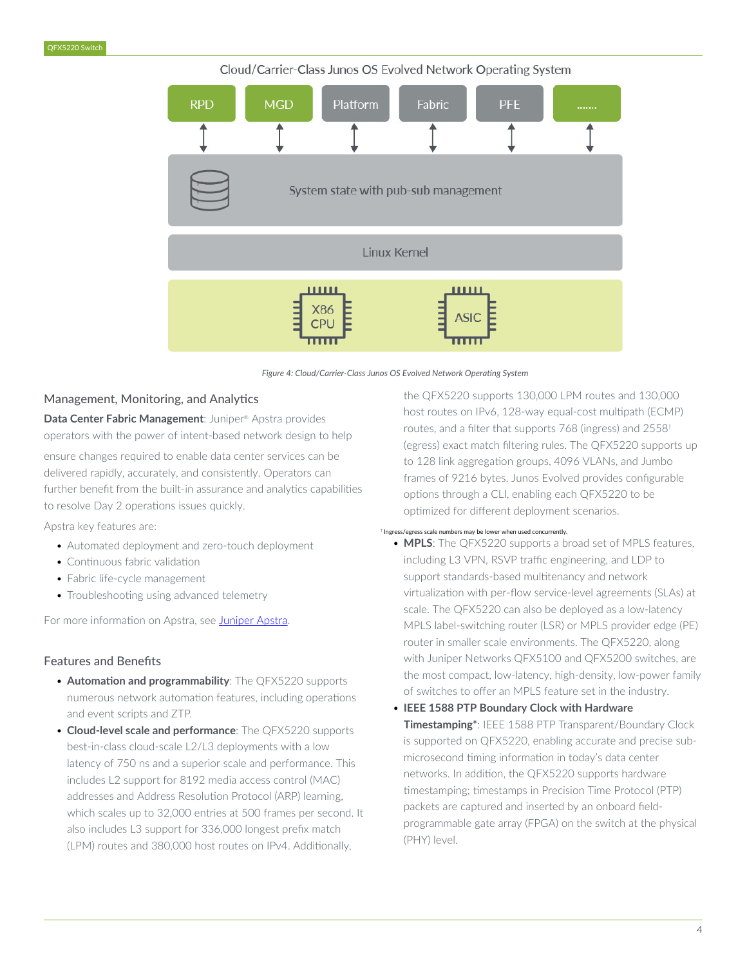#### Cloud/Carrier-Class Junos OS Evolved Network Operating System



*Figure 4: Cloud/Carrier-Class Junos OS Evolved Network Operating System*

#### Management, Monitoring, and Analytics

Data Center Fabric Management: Juniper<sup>®</sup> Apstra provides operators with the power of intent-based network design to help

ensure changes required to enable data center services can be delivered rapidly, accurately, and consistently. Operators can further benefit from the built-in assurance and analytics capabilities to resolve Day 2 operations issues quickly.

Apstra key features are:

- Automated deployment and zero-touch deployment
- Continuous fabric validation
- Fabric life-cycle management
- Troubleshooting using advanced telemetry

For more information on Apstra, see [Juniper Apstra.](https://www.juniper.net/us/en/products/network-automation/apstra/apstra-system.html)

### Features and Benefits

- **Automation and programmability**: The QFX5220 supports numerous network automation features, including operations and event scripts and ZTP.
- **Cloud-level scale and performance**: The QFX5220 supports best-in-class cloud-scale L2/L3 deployments with a low latency of 750 ns and a superior scale and performance. This includes L2 support for 8192 media access control (MAC) addresses and Address Resolution Protocol (ARP) learning, which scales up to 32,000 entries at 500 frames per second. It also includes L3 support for 336,000 longest prefix match (LPM) routes and 380,000 host routes on IPv4. Additionally,

the QFX5220 supports 130,000 LPM routes and 130,000 host routes on IPv6, 128-way equal-cost multipath (ECMP) routes, and a filter that supports 768 (ingress) and 2558† (egress) exact match filtering rules. The QFX5220 supports up to 128 link aggregation groups, 4096 VLANs, and Jumbo frames of 9216 bytes. Junos Evolved provides configurable options through a CLI, enabling each QFX5220 to be optimized for different deployment scenarios.

#### † Ingress/egress scale numbers may be lower when used concurrently.

- **MPLS**: The QFX5220 supports a broad set of MPLS features, including L3 VPN, RSVP traffic engineering, and LDP to support standards-based multitenancy and network virtualization with per-flow service-level agreements (SLAs) at scale. The QFX5220 can also be deployed as a low-latency MPLS label-switching router (LSR) or MPLS provider edge (PE) router in smaller scale environments. The QFX5220, along with Juniper Networks QFX5100 and QFX5200 switches, are the most compact, low-latency, high-density, low-power family of switches to offer an MPLS feature set in the industry.
- **IEEE 1588 PTP Boundary Clock with Hardware Timestamping\***: IEEE 1588 PTP Transparent/Boundary Clock is supported on QFX5220, enabling accurate and precise submicrosecond timing information in today's data center networks. In addition, the QFX5220 supports hardware timestamping; timestamps in Precision Time Protocol (PTP) packets are captured and inserted by an onboard fieldprogrammable gate array (FPGA) on the switch at the physical (PHY) level.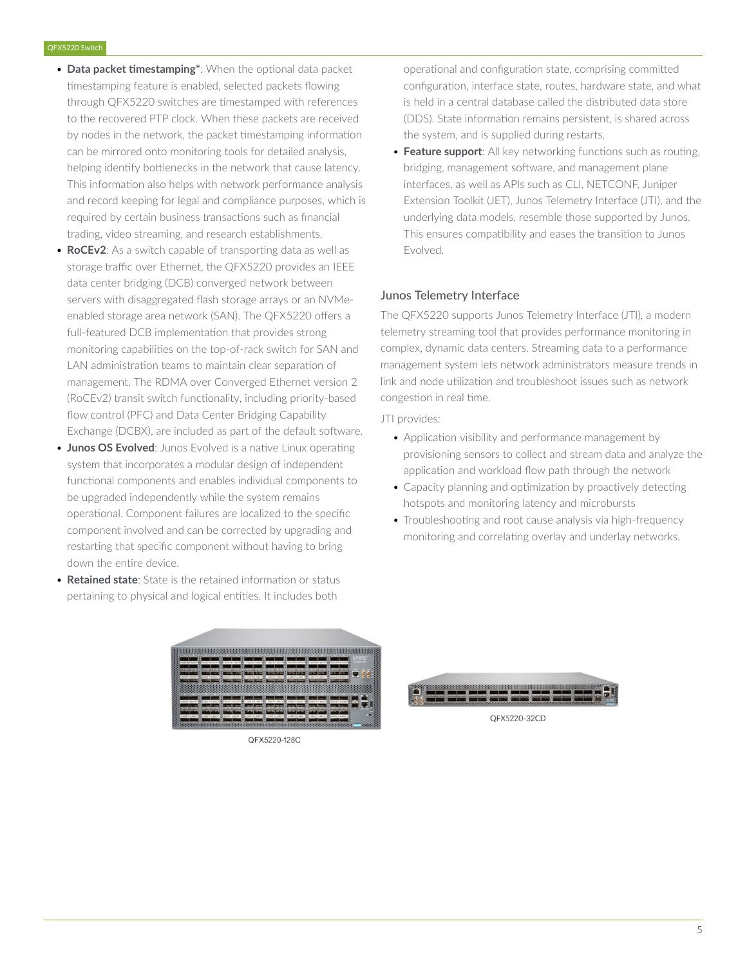- **Data packet timestamping\***: When the optional data packet timestamping feature is enabled, selected packets flowing through QFX5220 switches are timestamped with references to the recovered PTP clock. When these packets are received by nodes in the network, the packet timestamping information can be mirrored onto monitoring tools for detailed analysis, helping identify bottlenecks in the network that cause latency. This information also helps with network performance analysis and record keeping for legal and compliance purposes, which is required by certain business transactions such as financial trading, video streaming, and research establishments.
- **RoCEv2**: As a switch capable of transporting data as well as storage traffic over Ethernet, the QFX5220 provides an IEEE data center bridging (DCB) converged network between servers with disaggregated flash storage arrays or an NVMeenabled storage area network (SAN). The QFX5220 offers a full-featured DCB implementation that provides strong monitoring capabilities on the top-of-rack switch for SAN and LAN administration teams to maintain clear separation of management. The RDMA over Converged Ethernet version 2 (RoCEv2) transit switch functionality, including priority-based flow control (PFC) and Data Center Bridging Capability Exchange (DCBX), are included as part of the default software.
- **Junos OS Evolved:** Junos Evolved is a native Linux operating system that incorporates a modular design of independent functional components and enables individual components to be upgraded independently while the system remains operational. Component failures are localized to the specific component involved and can be corrected by upgrading and restarting that specific component without having to bring down the entire device.
- **Retained state**: State is the retained information or status pertaining to physical and logical entities. It includes both

| <b>SEVIATESY</b><br>16.2212<br>is been                       | via saas<br>A TABE VIA ROOM<br>9898322<br>Via 3331                                    | $  .110  .1101  .1101  .1101  .1101  .1101  .1101  .1101  .1101  .1101  .1101  .1101  .1101  .1101  .1101  .1101  .1101  .1101  .1101  .1101  .1101  .1101  .1101  .1101  .1101  .1101  .1101  .1101  .1101  .1101  .1101  .1101  .1101  .1101  .1101  .1101  .110$ |
|--------------------------------------------------------------|---------------------------------------------------------------------------------------|---------------------------------------------------------------------------------------------------------------------------------------------------------------------------------------------------------------------------------------------------------------------|
| <b>Tia Equa</b><br><b>KREE</b><br><b>TIA BASEY</b><br>a Bass | <b>A SEED</b><br><b>A 5655</b>                                                        | a stage via sport                                                                                                                                                                                                                                                   |
|                                                              |                                                                                       |                                                                                                                                                                                                                                                                     |
| <b>TILESSE</b>                                               | A STAR                                                                                |                                                                                                                                                                                                                                                                     |
| $*$ a serr $*$<br>$+222$<br>SHEEP 4 2000 *                   | via cost v<br>$4.5222 +$<br>$n$ SEET P<br>$r_{14}$ rent<br>A STORY A TORES<br>$+2222$ | A THEFT A TOST                                                                                                                                                                                                                                                      |
|                                                              |                                                                                       |                                                                                                                                                                                                                                                                     |

QFX5220-128C

operational and configuration state, comprising committed configuration, interface state, routes, hardware state, and what is held in a central database called the distributed data store (DDS). State information remains persistent, is shared across the system, and is supplied during restarts.

• **Feature support**: All key networking functions such as routing, bridging, management software, and management plane interfaces, as well as APIs such as CLI, NETCONF, Juniper Extension Toolkit (JET), Junos Telemetry Interface (JTI), and the underlying data models, resemble those supported by Junos. This ensures compatibility and eases the transition to Junos Evolved.

# Junos Telemetry Interface

The QFX5220 supports Junos Telemetry Interface (JTI), a modern telemetry streaming tool that provides performance monitoring in complex, dynamic data centers. Streaming data to a performance management system lets network administrators measure trends in link and node utilization and troubleshoot issues such as network congestion in real time.

JTI provides:

- Application visibility and performance management by provisioning sensors to collect and stream data and analyze the application and workload flow path through the network
- Capacity planning and optimization by proactively detecting hotspots and monitoring latency and microbursts
- Troubleshooting and root cause analysis via high-frequency monitoring and correlating overlay and underlay networks.

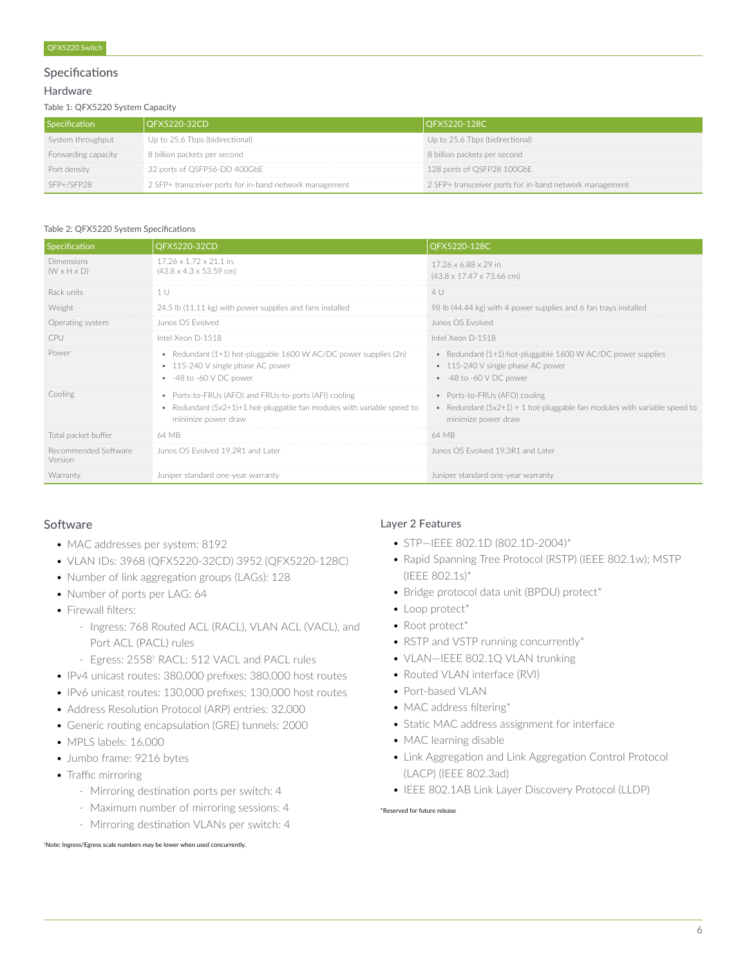#### Specifications

#### Hardware

Table 1: QFX5220 System Capacity

| Specification       | OFX5220-32CD                                            | OFX5220-128C                                            |
|---------------------|---------------------------------------------------------|---------------------------------------------------------|
| System throughput   | Up to 25.6 Tbps (bidirectional)                         | Up to 25.6 Tbps (bidirectional)                         |
| Forwarding capacity | 8 billion packets per second                            | 8 billion packets per second                            |
| Port density        | 32 ports of QSFP56-DD 400GbE                            | 128 ports of QSFP28 100GbE                              |
| $SFP+/SFP28$        | 2 SFP+ transceiver ports for in-band network management | 2 SFP+ transceiver ports for in-band network management |

#### Table 2: QFX5220 System Specifications

| <b>Specification</b>                  | QFX5220-32CD                                                                                                                                           | QFX5220-128C                                                                                                                       |
|---------------------------------------|--------------------------------------------------------------------------------------------------------------------------------------------------------|------------------------------------------------------------------------------------------------------------------------------------|
| Dimensions<br>$(W \times H \times D)$ | 17.26 x 1.72 x 21.1 in.<br>$(43.8 \times 4.3 \times 53.59$ cm)                                                                                         | 17.26 x 6.88 x 29 in.<br>$(43.8 \times 17.47 \times 73.66$ cm)                                                                     |
| Rack units                            | 1 U                                                                                                                                                    | 4U                                                                                                                                 |
| Weight                                | 24.5 lb (11.11 kg) with power supplies and fans installed                                                                                              | 98 lb (44.44 kg) with 4 power supplies and 6 fan trays installed                                                                   |
| Operating system                      | Junos OS Evolved                                                                                                                                       | Junos OS Evolved                                                                                                                   |
| CPU                                   | Intel Xeon D-1518                                                                                                                                      | Intel Xeon D-1518                                                                                                                  |
| Power                                 | • Redundant $(1+1)$ hot-pluggable 1600 W AC/DC power supplies $(2n)$<br>• 115-240 V single phase AC power<br>$-48$ to $-60$ V DC power                 | • Redundant (1+1) hot-pluggable 1600 W AC/DC power supplies<br>• 115-240 V single phase AC power<br>$-48$ to $-60$ V DC power      |
| Cooling                               | • Ports-to-FRUs (AFO) and FRUs-to-ports (AFI) cooling<br>• Redundant (5x2+1)+1 hot-pluggable fan modules with variable speed to<br>minimize power draw | • Ports-to-FRUs (AFO) cooling<br>• Redundant $(5x2+1) + 1$ hot-pluggable fan modules with variable speed to<br>minimize power draw |
| Total packet buffer                   | 64 MB                                                                                                                                                  | 64 MB                                                                                                                              |
| Recommended Software<br>Version       | Junos OS Evolved 19.2R1 and Later                                                                                                                      | Junos OS Evolved 19.3R1 and Later                                                                                                  |
| Warranty                              | Juniper standard one-vear warranty                                                                                                                     | Juniper standard one-year warranty                                                                                                 |

# **Software**

- MAC addresses per system: 8192
- VLAN IDs: 3968 (QFX5220-32CD) 3952 (QFX5220-128C)
- Number of link aggregation groups (LAGs): 128
- Number of ports per LAG: 64
- Firewall filters:
	- Ingress: 768 Routed ACL (RACL), VLAN ACL (VACL), and Port ACL (PACL) rules
	- Egress: 2558<sup>†</sup> RACL; 512 VACL and PACL rules
- IPv4 unicast routes: 380,000 prefixes; 380,000 host routes
- IPv6 unicast routes: 130,000 prefixes; 130,000 host routes
- Address Resolution Protocol (ARP) entries: 32,000
- Generic routing encapsulation (GRE) tunnels: 2000
- MPLS labels: 16,000
- Jumbo frame: 9216 bytes
- Traffic mirroring
	- Mirroring destination ports per switch: 4
	- Maximum number of mirroring sessions: 4
	- Mirroring destination VLANs per switch: 4

```
†Note: Ingress/Egress scale numbers may be lower when used concurrently.
```
#### Layer 2 Features

- STP—IEEE 802.1D (802.1D-2004)\*
- Rapid Spanning Tree Protocol (RSTP) (IEEE 802.1w); MSTP (IEEE 802.1s)\*
- Bridge protocol data unit (BPDU) protect\*
- Loop protect\*
- Root protect\*
- RSTP and VSTP running concurrently\*
- VLAN—IEEE 802.1Q VLAN trunking
- Routed VLAN interface (RVI)
- Port-based VLAN
- MAC address filtering\*
- Static MAC address assignment for interface
- MAC learning disable
- Link Aggregation and Link Aggregation Control Protocol (LACP) (IEEE 802.3ad)
- IEEE 802.1AB Link Layer Discovery Protocol (LLDP)

#### \*Reserved for future release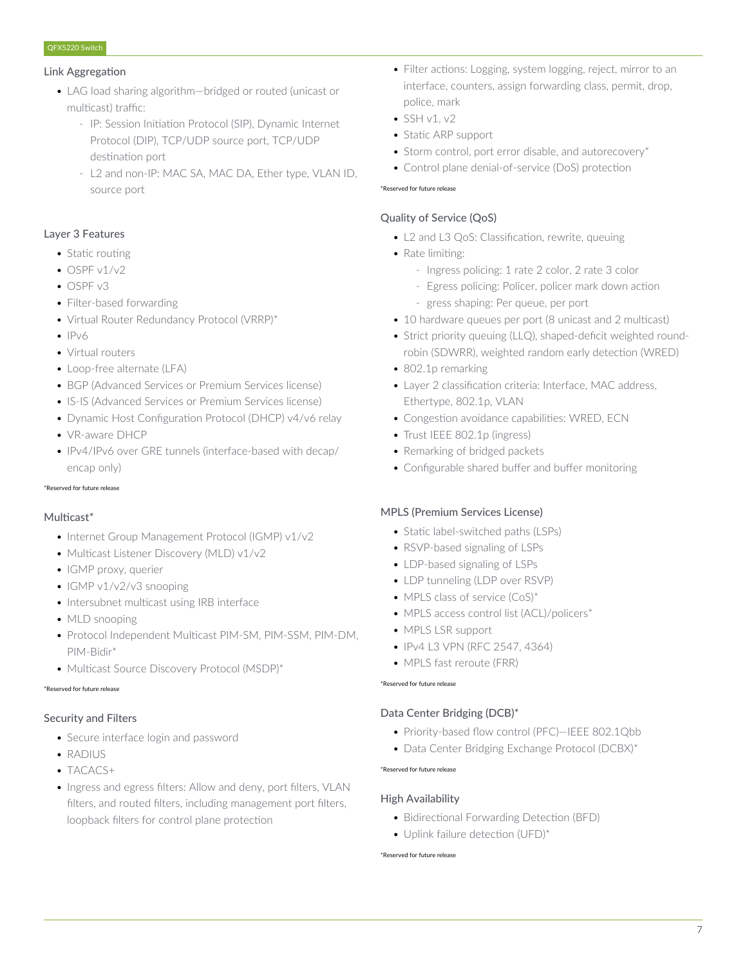#### Link Aggregation

- LAG load sharing algorithm—bridged or routed (unicast or multicast) traffic:
	- IP: Session Initiation Protocol (SIP), Dynamic Internet Protocol (DIP), TCP/UDP source port, TCP/UDP destination port
	- L2 and non-IP: MAC SA, MAC DA, Ether type, VLAN ID, source port

# Layer 3 Features

- Static routing
- $\bullet$  OSPF v1/v2
- OSPF v3
- Filter-based forwarding
- Virtual Router Redundancy Protocol (VRRP)\*
- $\bullet$  IPv6
- Virtual routers
- Loop-free alternate (LFA)
- BGP (Advanced Services or Premium Services license)
- IS-IS (Advanced Services or Premium Services license)
- Dynamic Host Configuration Protocol (DHCP) v4/v6 relay
- VR-aware DHCP
- IPv4/IPv6 over GRE tunnels (interface-based with decap/ encap only)

#### \*Reserved for future release

#### Multicast\*

- Internet Group Management Protocol (IGMP) v1/v2
- Multicast Listener Discovery (MLD) v1/v2
- IGMP proxy, querier
- IGMP v1/v2/v3 snooping
- Intersubnet multicast using IRB interface
- MLD snooping
- Protocol Independent Multicast PIM-SM, PIM-SSM, PIM-DM, PIM-Bidir\*
- Multicast Source Discovery Protocol (MSDP)\*

#### \*Reserved for future release

# Security and Filters

- Secure interface login and password
- RADIUS
- TACACS+
- Ingress and egress filters: Allow and deny, port filters, VLAN filters, and routed filters, including management port filters, loopback filters for control plane protection
- Filter actions: Logging, system logging, reject, mirror to an interface, counters, assign forwarding class, permit, drop, police, mark
- $\bullet$  SSH v1, v2
- Static ARP support
- Storm control, port error disable, and autorecovery\*
- Control plane denial-of-service (DoS) protection

#### \*Reserved for future release

# Quality of Service (QoS)

- L2 and L3 QoS: Classification, rewrite, queuing
- Rate limiting:
	- Ingress policing: 1 rate 2 color, 2 rate 3 color
	- Egress policing: Policer, policer mark down action - gress shaping: Per queue, per port
- 10 hardware queues per port (8 unicast and 2 multicast)
- Strict priority queuing (LLQ), shaped-deficit weighted roundrobin (SDWRR), weighted random early detection (WRED)
- 802.1p remarking
- Layer 2 classification criteria: Interface, MAC address, Ethertype, 802.1p, VLAN
- Congestion avoidance capabilities: WRED, ECN
- Trust IEEE 802.1p (ingress)
- Remarking of bridged packets
- Configurable shared buffer and buffer monitoring

#### MPLS (Premium Services License)

- Static label-switched paths (LSPs)
- RSVP-based signaling of LSPs
- LDP-based signaling of LSPs
- LDP tunneling (LDP over RSVP)
- MPLS class of service (CoS)\*
- MPLS access control list (ACL)/policers\*
- MPLS LSR support
- IPv4 L3 VPN (RFC 2547, 4364)
- MPLS fast reroute (FRR)

#### \*Reserved for future release

# Data Center Bridging (DCB)\*

- Priority-based flow control (PFC)—IEEE 802.1Qbb
- Data Center Bridging Exchange Protocol (DCBX)\*

# \*Reserved for future release

# High Availability

- Bidirectional Forwarding Detection (BFD)
- Uplink failure detection (UFD)\*

#### \*Reserved for future release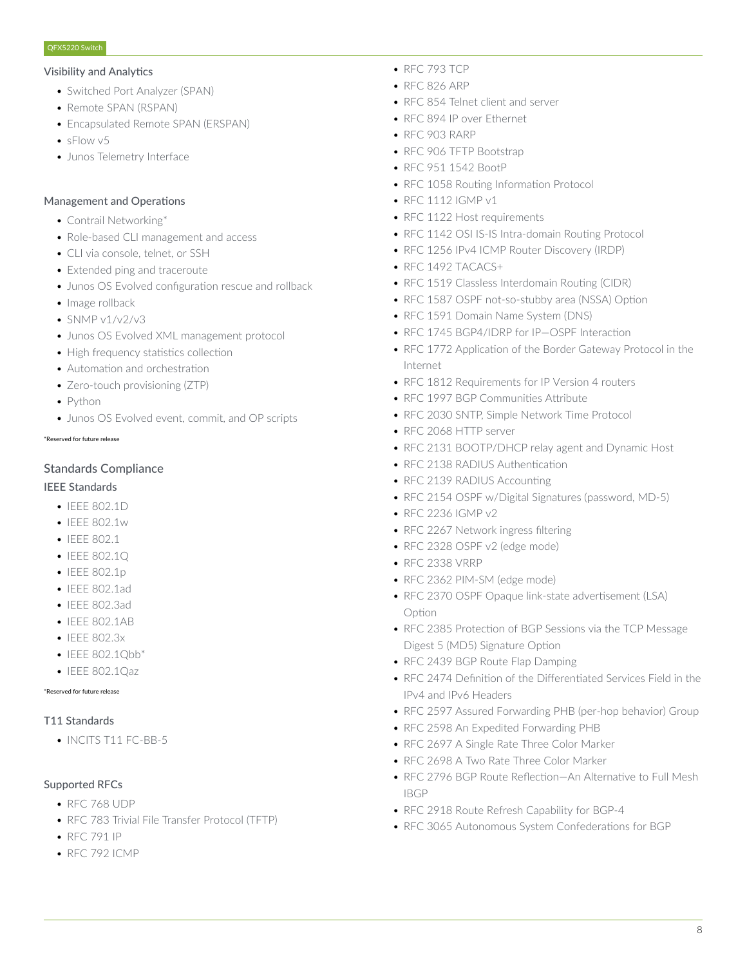#### Visibility and Analytics

- Switched Port Analyzer (SPAN)
- Remote SPAN (RSPAN)
- Encapsulated Remote SPAN (ERSPAN)
- sFlow v5
- Junos Telemetry Interface

#### Management and Operations

- Contrail Networking\*
- Role-based CLI management and access
- CLI via console, telnet, or SSH
- Extended ping and traceroute
- Junos OS Evolved configuration rescue and rollback
- Image rollback
- $\cdot$  SNMP v1/v2/v3
- Junos OS Evolved XML management protocol
- High frequency statistics collection
- Automation and orchestration
- Zero-touch provisioning (ZTP)
- Python
- Junos OS Evolved event, commit, and OP scripts

#### \*Reserved for future release

# Standards Compliance

# IEEE Standards

- IFFF 802.1D
- IEEE 802.1w
- IEEE 802.1
- IEEE 802.1Q
- IEEE 802.1p
- IEEE 802.1ad
- IEEE 802.3ad
- IEEE 802.1AB
- IEEE 802.3x
- IEEE 802.1Obb\*
- IEEE 802.1Qaz

#### \*Reserved for future release

# T11 Standards

• INCITS T11 FC-BB-5

# Supported RFCs

- RFC 768 UDP
- RFC 783 Trivial File Transfer Protocol (TFTP)
- RFC 791 IP
- RFC 792 ICMP
- RFC 793 TCP
- RFC 826 ARP
- RFC 854 Telnet client and server
- RFC 894 IP over Ethernet
- RFC 903 RARP
- RFC 906 TFTP Bootstrap
- RFC 951 1542 BootP
- RFC 1058 Routing Information Protocol
- RFC 1112 IGMP v1
- RFC 1122 Host requirements
- RFC 1142 OSI IS-IS Intra-domain Routing Protocol
- RFC 1256 IPv4 ICMP Router Discovery (IRDP)
- RFC 1492 TACACS+
- RFC 1519 Classless Interdomain Routing (CIDR)
- RFC 1587 OSPF not-so-stubby area (NSSA) Option
- RFC 1591 Domain Name System (DNS)
- RFC 1745 BGP4/IDRP for IP—OSPF Interaction
- RFC 1772 Application of the Border Gateway Protocol in the Internet
- RFC 1812 Requirements for IP Version 4 routers
- RFC 1997 BGP Communities Attribute
- RFC 2030 SNTP, Simple Network Time Protocol
- RFC 2068 HTTP server
- RFC 2131 BOOTP/DHCP relay agent and Dynamic Host
- RFC 2138 RADIUS Authentication
- RFC 2139 RADIUS Accounting
- RFC 2154 OSPF w/Digital Signatures (password, MD-5)
- RFC 2236 IGMP v2
- RFC 2267 Network ingress filtering
- RFC 2328 OSPF v2 (edge mode)
- RFC 2338 VRRP
- RFC 2362 PIM-SM (edge mode)
- RFC 2370 OSPF Opaque link-state advertisement (LSA) Option
- RFC 2385 Protection of BGP Sessions via the TCP Message Digest 5 (MD5) Signature Option
- RFC 2439 BGP Route Flap Damping
- RFC 2474 Definition of the Differentiated Services Field in the IPv4 and IPv6 Headers
- RFC 2597 Assured Forwarding PHB (per-hop behavior) Group
- RFC 2598 An Expedited Forwarding PHB
- RFC 2697 A Single Rate Three Color Marker
- RFC 2698 A Two Rate Three Color Marker
- RFC 2796 BGP Route Reflection—An Alternative to Full Mesh IBGP
- RFC 2918 Route Refresh Capability for BGP-4
- RFC 3065 Autonomous System Confederations for BGP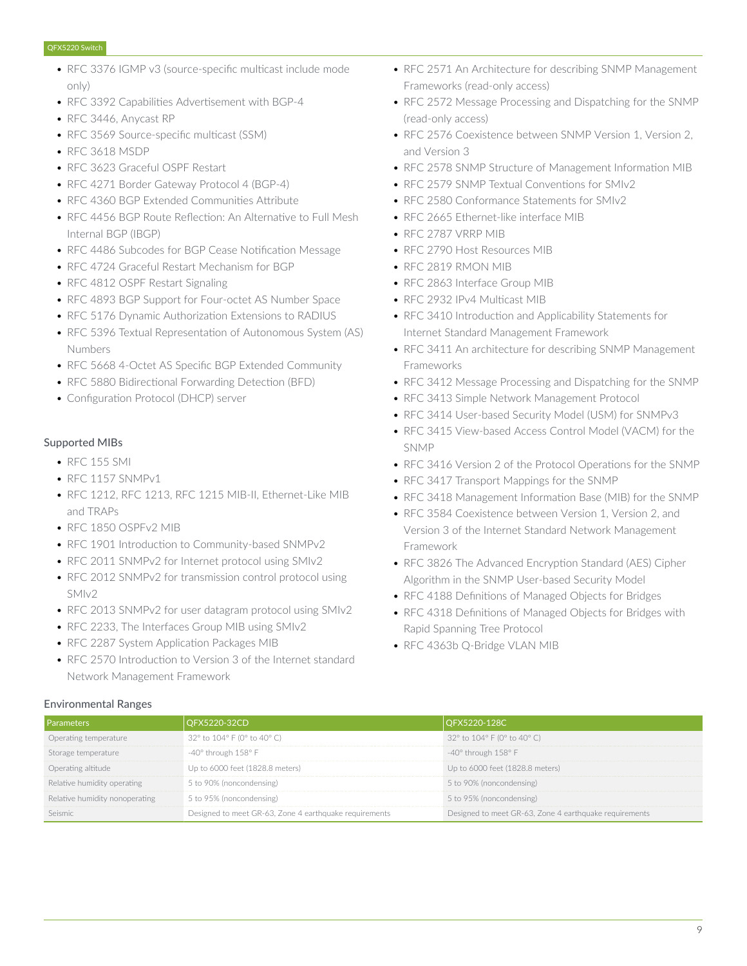- RFC 3376 IGMP v3 (source-specific multicast include mode only)
- RFC 3392 Capabilities Advertisement with BGP-4
- RFC 3446, Anycast RP
- RFC 3569 Source-specific multicast (SSM)
- RFC 3618 MSDP
- RFC 3623 Graceful OSPF Restart
- RFC 4271 Border Gateway Protocol 4 (BGP-4)
- RFC 4360 BGP Extended Communities Attribute
- RFC 4456 BGP Route Reflection: An Alternative to Full Mesh Internal BGP (IBGP)
- RFC 4486 Subcodes for BGP Cease Notification Message
- RFC 4724 Graceful Restart Mechanism for BGP
- RFC 4812 OSPF Restart Signaling
- RFC 4893 BGP Support for Four-octet AS Number Space
- RFC 5176 Dynamic Authorization Extensions to RADIUS
- RFC 5396 Textual Representation of Autonomous System (AS) Numbers
- RFC 5668 4-Octet AS Specific BGP Extended Community
- RFC 5880 Bidirectional Forwarding Detection (BFD)
- Configuration Protocol (DHCP) server

#### Supported MIBs

- RFC 155 SMI
- RFC 1157 SNMPv1
- RFC 1212, RFC 1213, RFC 1215 MIB-II, Ethernet-Like MIB and TRAPs
- RFC 1850 OSPFv2 MIB
- RFC 1901 Introduction to Community-based SNMPv2
- RFC 2011 SNMPv2 for Internet protocol using SMIv2
- RFC 2012 SNMPv2 for transmission control protocol using SMIv2
- RFC 2013 SNMPv2 for user datagram protocol using SMIv2
- RFC 2233, The Interfaces Group MIB using SMIv2
- RFC 2287 System Application Packages MIB
- RFC 2570 Introduction to Version 3 of the Internet standard Network Management Framework

#### Environmental Ranges

- RFC 2571 An Architecture for describing SNMP Management Frameworks (read-only access)
- RFC 2572 Message Processing and Dispatching for the SNMP (read-only access)
- RFC 2576 Coexistence between SNMP Version 1, Version 2, and Version 3
- RFC 2578 SNMP Structure of Management Information MIB
- REC 2579 SNMP Textual Conventions for SMIv2
- RFC 2580 Conformance Statements for SMIv2
- RFC 2665 Ethernet-like interface MIB
- RFC 2787 VRRP MIB
- RFC 2790 Host Resources MIB
- RFC 2819 RMON MIB
- RFC 2863 Interface Group MIB
- RFC 2932 IPv4 Multicast MIB
- RFC 3410 Introduction and Applicability Statements for Internet Standard Management Framework
- RFC 3411 An architecture for describing SNMP Management Frameworks
- RFC 3412 Message Processing and Dispatching for the SNMP
- RFC 3413 Simple Network Management Protocol
- RFC 3414 User-based Security Model (USM) for SNMPv3
- RFC 3415 View-based Access Control Model (VACM) for the SNMP
- RFC 3416 Version 2 of the Protocol Operations for the SNMP
- RFC 3417 Transport Mappings for the SNMP
- RFC 3418 Management Information Base (MIB) for the SNMP
- RFC 3584 Coexistence between Version 1, Version 2, and Version 3 of the Internet Standard Network Management Framework
- RFC 3826 The Advanced Encryption Standard (AES) Cipher Algorithm in the SNMP User-based Security Model
- RFC 4188 Definitions of Managed Objects for Bridges
- RFC 4318 Definitions of Managed Objects for Bridges with Rapid Spanning Tree Protocol
- RFC 4363b Q-Bridge VLAN MIB

|                                | 7X5220-32CD                                            | FX5220-128C\                                           |
|--------------------------------|--------------------------------------------------------|--------------------------------------------------------|
| Jperating temperature          | 32° to 104° F (0° to 40° C)                            | 32° to 104° F (0° to 40° C)                            |
| Storage temperature            | $-40^\circ$ through $158^\circ$ F                      | -40° through 158° F                                    |
| Dperating altitude             | Up to 6000 feet (1828.8 meters)                        | Up to 6000 feet (1828.8 meters)                        |
| Relative humidity operating    | 5 to 90% (noncondensing)                               | 5 to 90% (noncondensing)                               |
| Relative humidity nonoperating | 5 to 95% (noncondensing)                               | 5 to 95% (noncondensing)                               |
| eismic                         | Designed to meet GR-63, Zone 4 earthquake requirements | Designed to meet GR-63, Zone 4 earthquake requirements |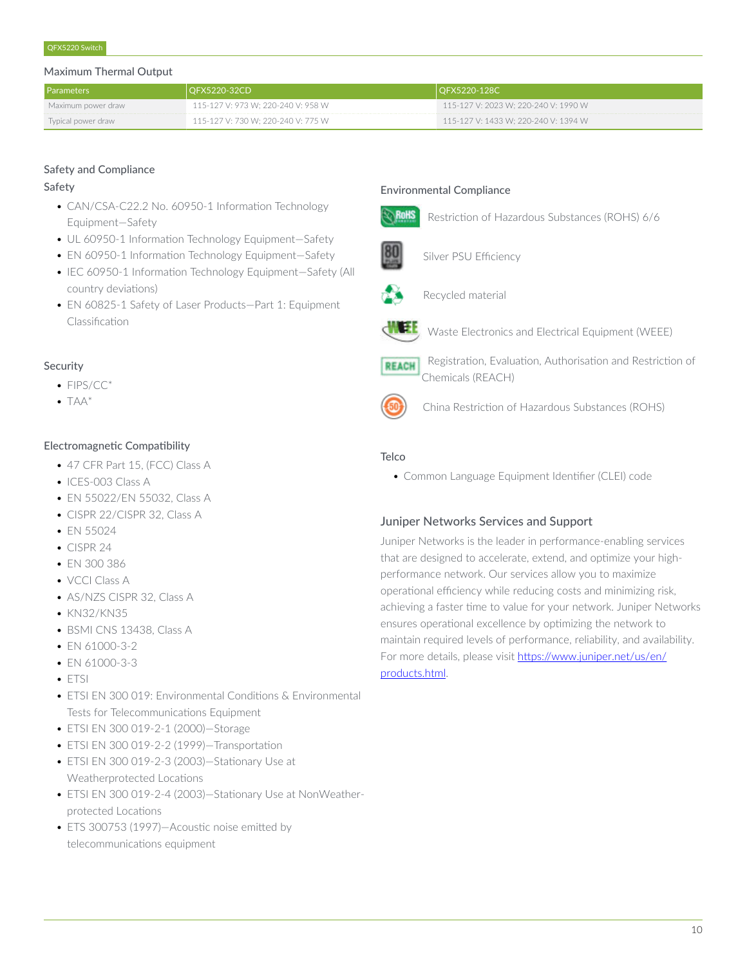### Maximum Thermal Output

| <b>Parameters</b>  | OFX5220-32CD                       | OFX5220-128C                           |
|--------------------|------------------------------------|----------------------------------------|
| Maximum power draw | 115-127 V: 973 W; 220-240 V: 958 W | $115-127$ V: 2023 W; 220-240 V: 1990 W |
| Typical power draw | 115-127 V: 730 W; 220-240 V: 775 W | 115-127 V: 1433 W; 220-240 V: 1394 W   |

# Safety and Compliance

### Safety

- CAN/CSA-C22.2 No. 60950-1 Information Technology Equipment—Safety
- UL 60950-1 Information Technology Equipment—Safety
- EN 60950-1 Information Technology Equipment—Safety
- IEC 60950-1 Information Technology Equipment—Safety (All country deviations)
- EN 60825-1 Safety of Laser Products—Part 1: Equipment Classification

# Security

- FIPS/CC<sup>\*</sup>
- $\bullet$  TAA\*

# Electromagnetic Compatibility

- 47 CFR Part 15, (FCC) Class A
- ICES-003 Class A
- EN 55022/EN 55032, Class A
- CISPR 22/CISPR 32, Class A
- EN 55024
- CISPR 24
- EN 300 386
- VCCI Class A
- AS/NZS CISPR 32, Class A
- KN32/KN35
- BSMI CNS 13438, Class A
- EN 61000-3-2
- EN 61000-3-3
- ETSI
- ETSI EN 300 019: Environmental Conditions & Environmental Tests for Telecommunications Equipment
- ETSI EN 300 019-2-1 (2000)—Storage
- ETSI EN 300 019-2-2 (1999)—Transportation
- ETSI EN 300 019-2-3 (2003)—Stationary Use at Weatherprotected Locations
- ETSI EN 300 019-2-4 (2003)—Stationary Use at NonWeatherprotected Locations
- ETS 300753 (1997)—Acoustic noise emitted by telecommunications equipment

# Environmental Compliance



Restriction of Hazardous Substances (ROHS) 6/6



Silver PSU Efficiency



Recycled material



Waste Electronics and Electrical Equipment (WEEE)



 Registration, Evaluation, Authorisation and Restriction of Chemicals (REACH)



China Restriction of Hazardous Substances (ROHS)

# **Telco**

• Common Language Equipment Identifier (CLEI) code

# Juniper Networks Services and Support

Juniper Networks is the leader in performance-enabling services that are designed to accelerate, extend, and optimize your highperformance network. Our services allow you to maximize operational efficiency while reducing costs and minimizing risk, achieving a faster time to value for your network. Juniper Networks ensures operational excellence by optimizing the network to maintain required levels of performance, reliability, and availability. For more details, please visit [https://www.juniper.net/us/en/](https://www.juniper.net/us/en/products.html) [products.html.](https://www.juniper.net/us/en/products.html)